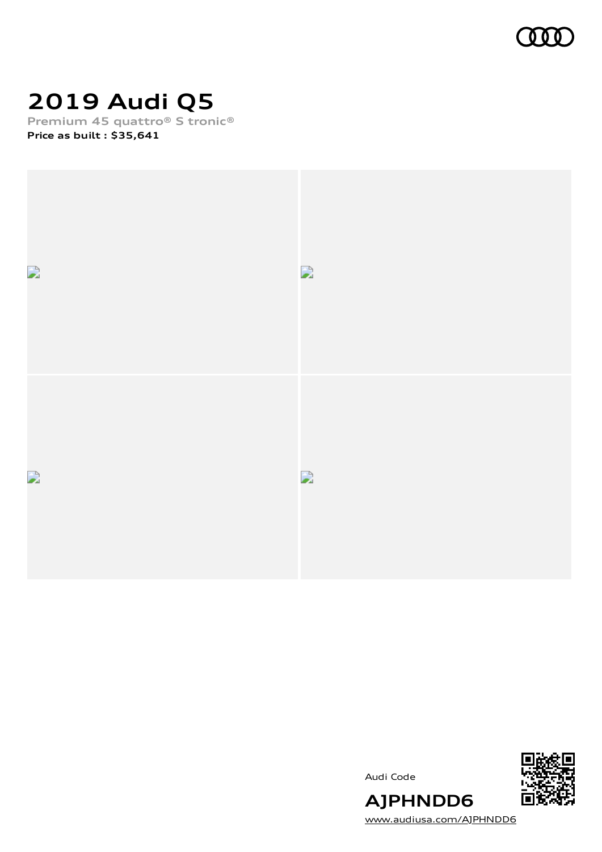

## **2019 Audi Q5**

**Premium 45 quattro® S tronic® Price as built [:](#page-10-0) \$35,641**



Audi Code



[www.audiusa.com/AJPHNDD6](https://www.audiusa.com/AJPHNDD6)

**AJPHNDD6**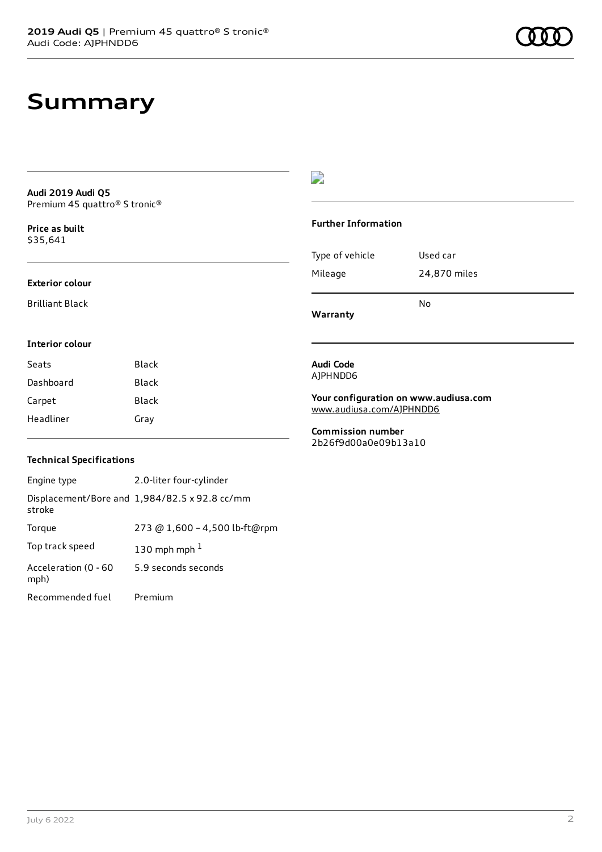### **Summary**

**Audi 2019 Audi Q5** Premium 45 quattro® S tronic®

**Price as buil[t](#page-10-0)** \$35,641

#### **Exterior colour**

Brilliant Black

**Interior colour**

#### $\overline{\phantom{a}}$

#### **Further Information**

|                 | N٥           |
|-----------------|--------------|
| Mileage         | 24,870 miles |
| Type of vehicle | Used car     |

**Warranty**

**Audi Code** AJPHNDD6

**Your configuration on www.audiusa.com** [www.audiusa.com/AJPHNDD6](https://www.audiusa.com/AJPHNDD6)

**Commission number** 2b26f9d00a0e09b13a10

#### **Technical Specifications**

Seats Black Dashboard Black Carpet Black Headliner Gray

| Engine type                  | 2.0-liter four-cylinder                       |
|------------------------------|-----------------------------------------------|
| stroke                       | Displacement/Bore and 1,984/82.5 x 92.8 cc/mm |
| Torque                       | 273 @ 1,600 - 4,500 lb-ft@rpm                 |
| Top track speed              | 130 mph mph $1$                               |
| Acceleration (0 - 60<br>mph) | 5.9 seconds seconds                           |
| Recommended fuel             | Premium                                       |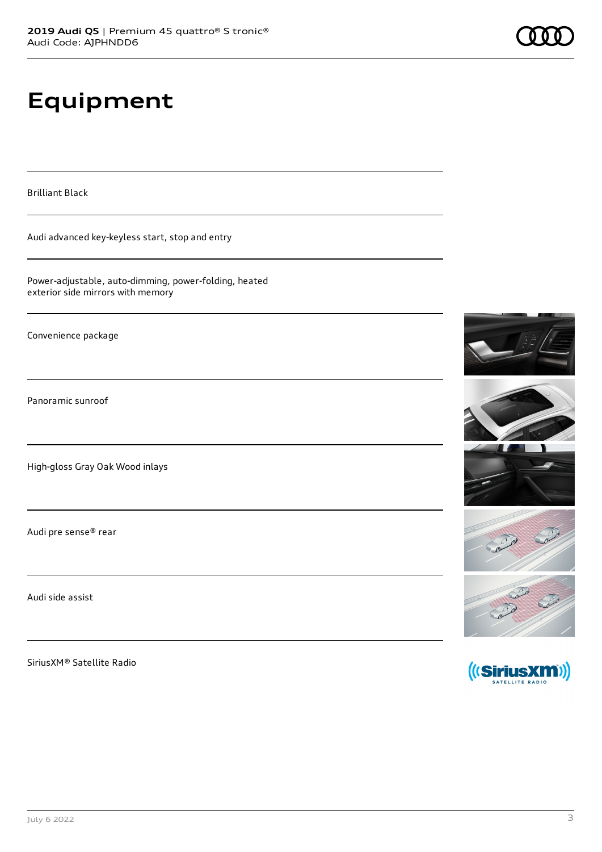## **Equipment**

Brilliant Black

Audi advanced key-keyless start, stop and entry

Power-adjustable, auto-dimming, power-folding, heated exterior side mirrors with memory

Convenience package

Panoramic sunroof

High-gloss Gray Oak Wood inlays

Audi pre sense® rear

Audi side assist

SiriusXM® Satellite Radio







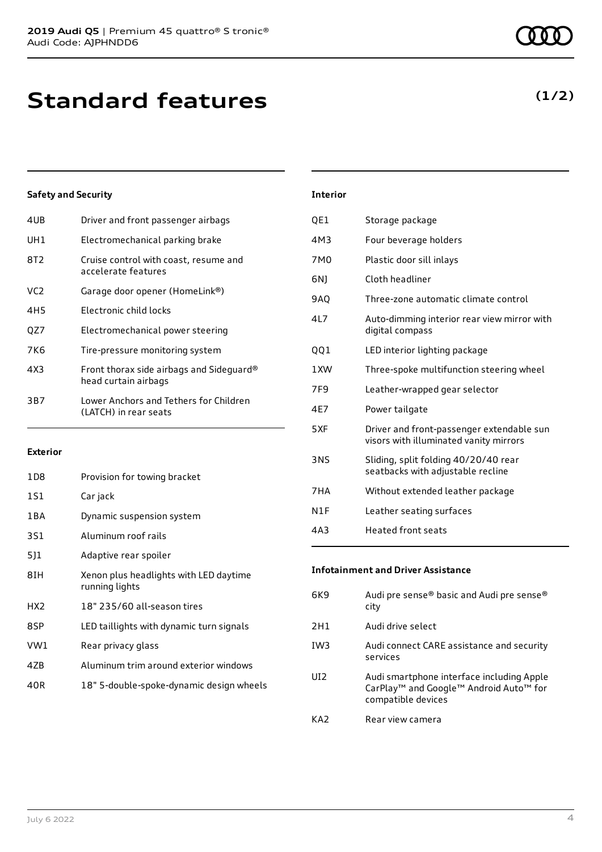| 4UB | Driver and front passenger airbags                               |
|-----|------------------------------------------------------------------|
| UH1 | Electromechanical parking brake                                  |
| 8T2 | Cruise control with coast, resume and<br>accelerate features     |
| VC2 | Garage door opener (HomeLink®)                                   |
| 4H5 | Electronic child locks                                           |
| OZ7 | Electromechanical power steering                                 |
| 7K6 | Tire-pressure monitoring system                                  |
| 4X3 | Front thorax side airbags and Sideguard®<br>head curtain airbags |
| 3B7 | Lower Anchors and Tethers for Children<br>(LATCH) in rear seats  |

#### **Exterior**

| 1D8             | Provision for towing bracket                             |
|-----------------|----------------------------------------------------------|
| 1S1             | Car jack                                                 |
| 1 B A           | Dynamic suspension system                                |
| 3S1             | Aluminum roof rails                                      |
| 511             | Adaptive rear spoiler                                    |
| 8IH             | Xenon plus headlights with LED daytime<br>running lights |
| HX <sub>2</sub> | 18" 235/60 all-season tires                              |
| 8SP             | LED taillights with dynamic turn signals                 |
| VW1             | Rear privacy glass                                       |
| 4ZB             | Aluminum trim around exterior windows                    |
| 40R             | 18" 5-double-spoke-dynamic design wheels                 |

| <b>Interior</b> |                                                                                     |
|-----------------|-------------------------------------------------------------------------------------|
| QE1             | Storage package                                                                     |
| 4M3             | Four beverage holders                                                               |
| 7M <sub>0</sub> | Plastic door sill inlays                                                            |
| 6N)             | Cloth headliner                                                                     |
| 9AQ             | Three-zone automatic climate control                                                |
| 4L7             | Auto-dimming interior rear view mirror with<br>digital compass                      |
| 001             | LED interior lighting package                                                       |
| 1 XW            | Three-spoke multifunction steering wheel                                            |
| 7F9             | Leather-wrapped gear selector                                                       |
| 4F7             | Power tailgate                                                                      |
| 5XF             | Driver and front-passenger extendable sun<br>visors with illuminated vanity mirrors |
| <b>3NS</b>      | Sliding, split folding 40/20/40 rear<br>seatbacks with adjustable recline           |
| 7HA             | Without extended leather package                                                    |
| N1F             | Leather seating surfaces                                                            |

4A3 Heated front seats

#### **Infotainment and Driver Assistance**

| 6K9             | Audi pre sense® basic and Audi pre sense®<br>city                                                                                             |
|-----------------|-----------------------------------------------------------------------------------------------------------------------------------------------|
| 2H1             | Audi drive select                                                                                                                             |
| IW <sub>3</sub> | Audi connect CARE assistance and security<br>services                                                                                         |
| UI <sub>2</sub> | Audi smartphone interface including Apple<br>CarPlay <sup>™</sup> and Google <sup>™</sup> Android Auto <sup>™</sup> for<br>compatible devices |
| KA7             | Rear view camera                                                                                                                              |

### **(1/2)**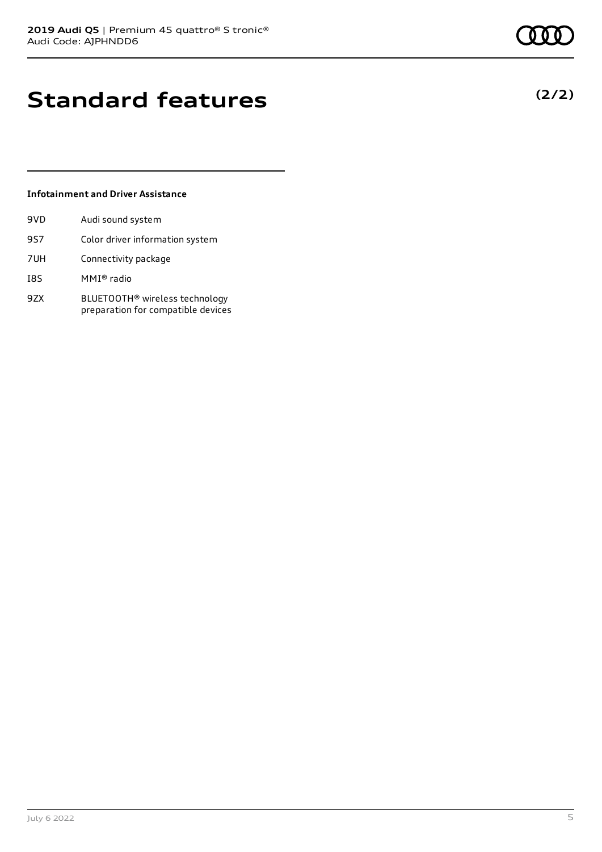### **Standard features**

#### **Infotainment and Driver Assistance**

| 9VD | Audi sound system                                                                |
|-----|----------------------------------------------------------------------------------|
| 9S7 | Color driver information system                                                  |
| 7UH | Connectivity package                                                             |
| I8S | MMI® radio                                                                       |
| 9ZX | BLUETOOTH <sup>®</sup> wireless technology<br>preparation for compatible devices |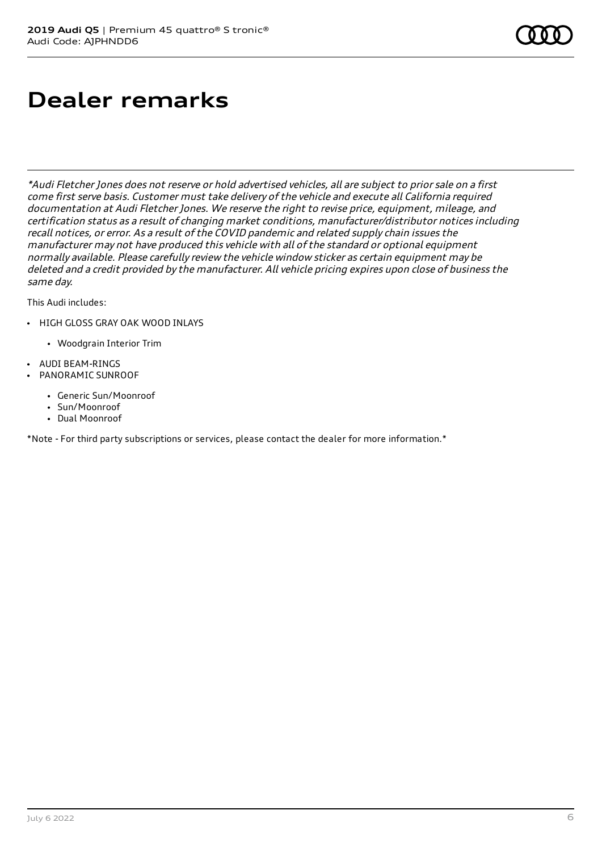# **Dealer remarks**

\*Audi Fletcher Jones does not reserve or hold advertised vehicles, all are subject to prior sale on <sup>a</sup> first come first serve basis. Customer must take delivery of the vehicle and execute all California required documentation at Audi Fletcher Jones. We reserve the right to revise price, equipment, mileage, and certification status as <sup>a</sup> result of changing market conditions, manufacturer/distributor notices including recall notices, or error. As <sup>a</sup> result of the COVID pandemic and related supply chain issues the manufacturer may not have produced this vehicle with all of the standard or optional equipment normally available. Please carefully review the vehicle window sticker as certain equipment may be deleted and <sup>a</sup> credit provided by the manufacturer. All vehicle pricing expires upon close of business the same day.

This Audi includes:

- HIGH GLOSS GRAY OAK WOOD INLAYS
	- Woodgrain Interior Trim
- AUDI BEAM-RINGS
- PANORAMIC SUNROOF
	- Generic Sun/Moonroof
	- Sun/Moonroof
	- Dual Moonroof

\*Note - For third party subscriptions or services, please contact the dealer for more information.\*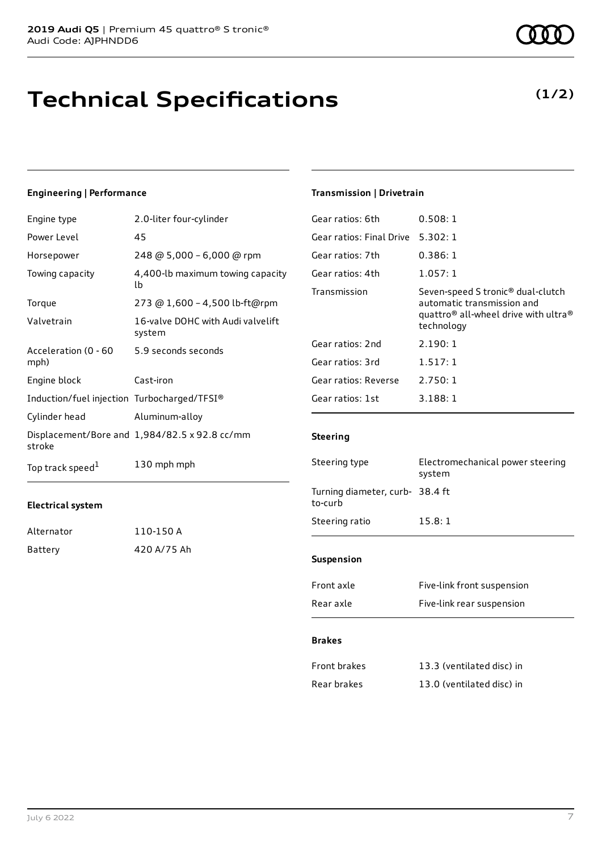### **Technical Specifications**

#### **Engineering | Performance**

| Engine type                                 | 2.0-liter four-cylinder                       |
|---------------------------------------------|-----------------------------------------------|
| Power Level                                 | 45                                            |
| Horsepower                                  | 248 @ 5,000 - 6,000 @ rpm                     |
| Towing capacity                             | 4,400-lb maximum towing capacity<br>lb        |
| Torque                                      | 273 @ 1,600 - 4,500 lb-ft@rpm                 |
| Valvetrain                                  | 16-valve DOHC with Audi valvelift<br>system   |
| Acceleration (0 - 60<br>mph)                | 5.9 seconds seconds                           |
| Engine block                                | Cast-iron                                     |
| Induction/fuel injection Turbocharged/TFSI® |                                               |
| Cylinder head                               | Aluminum-alloy                                |
| stroke                                      | Displacement/Bore and 1,984/82.5 x 92.8 cc/mm |
| Top track speed <sup>1</sup>                | 130 mph mph                                   |

#### **Electrical system**

| Alternator | 110-150 A   |
|------------|-------------|
| Battery    | 420 A/75 Ah |

### **Transmission | Drivetrain**

| Gear ratios: 6th         | 0.508:1                                                                                                                                                   |
|--------------------------|-----------------------------------------------------------------------------------------------------------------------------------------------------------|
| Gear ratios: Final Drive | 5.302:1                                                                                                                                                   |
| Gear ratios: 7th         | 0.386:1                                                                                                                                                   |
| Gear ratios: 4th         | 1.057:1                                                                                                                                                   |
| Transmission             | Seven-speed S tronic <sup>®</sup> dual-clutch<br>automatic transmission and<br>quattro <sup>®</sup> all-wheel drive with ultra <sup>®</sup><br>technology |
| Gear ratios: 2nd         | 2.190:1                                                                                                                                                   |
| Gear ratios: 3rd         | 1.517:1                                                                                                                                                   |
| Gear ratios: Reverse     | 2.750:1                                                                                                                                                   |
| Gear ratios: 1st         | 3.188:1                                                                                                                                                   |
|                          |                                                                                                                                                           |

#### **Steering**

| Steering type                              | Electromechanical power steering<br>system |
|--------------------------------------------|--------------------------------------------|
| Turning diameter, curb- 38.4 ft<br>to-curb |                                            |
| Steering ratio                             | 15.8:1                                     |
|                                            |                                            |
| <b>Suspension</b>                          |                                            |
| Front axle                                 | Five-link front suspension                 |
| Rear axle                                  | Five-link rear suspension                  |

#### **Brakes**

| Front brakes | 13.3 (ventilated disc) in |
|--------------|---------------------------|
| Rear brakes  | 13.0 (ventilated disc) in |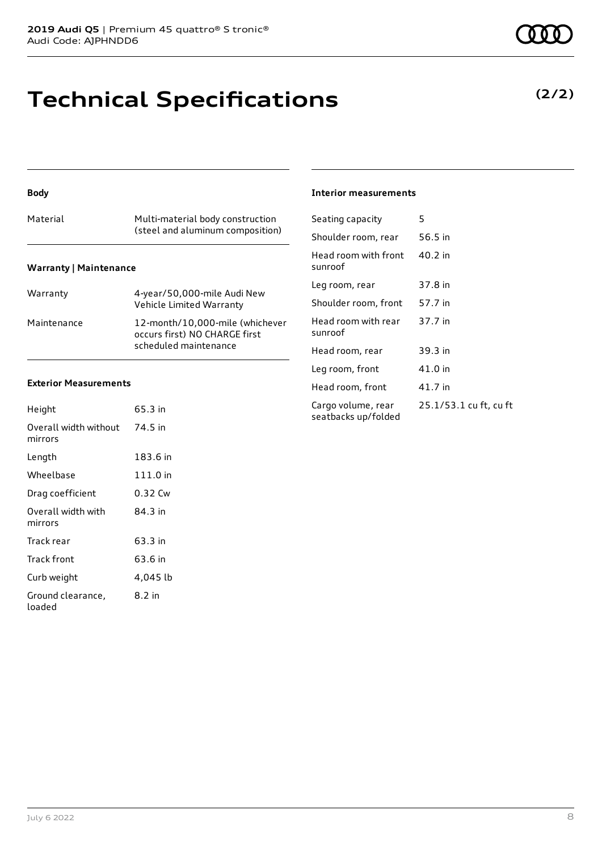### **Technical Specifications**

#### **Body**

| Material                      | Multi-material body construction<br>(steel and aluminum composition) |
|-------------------------------|----------------------------------------------------------------------|
| <b>Warranty   Maintenance</b> |                                                                      |

| Warranty    | 4-year/50,000-mile Audi New<br>Vehicle Limited Warranty                                   |
|-------------|-------------------------------------------------------------------------------------------|
| Maintenance | 12-month/10.000-mile (whichever<br>occurs first) NO CHARGE first<br>scheduled maintenance |

#### **Exterior Measurements**

| Height                           | 65.3 in  |
|----------------------------------|----------|
| Overall width without<br>mirrors | 74.5 in  |
| Length                           | 183.6 in |
| Wheelbase                        | 111.0 in |
| Drag coefficient                 | 0.32 Cw  |
| Overall width with<br>mirrors    | 84.3 in  |
| Track rear                       | 63.3 in  |
| Track front                      | 63.6 in  |
| Curb weight                      | 4,045 lb |
| Ground clearance,<br>loaded      | 8.2 in   |

#### **Interior measurements**

| Seating capacity                          | 5                      |
|-------------------------------------------|------------------------|
| Shoulder room, rear                       | 56.5 in                |
| Head room with front<br>sunroof           | 40.2 in                |
| Leg room, rear                            | 37.8 in                |
| Shoulder room, front                      | 57.7 in                |
| Head room with rear<br>sunroof            | 37.7 in                |
| Head room, rear                           | 39.3 in                |
| Leg room, front                           | 41.0 in                |
| Head room, front                          | 41.7 in                |
| Cargo volume, rear<br>seatbacks up/folded | 25.1/53.1 cu ft, cu ft |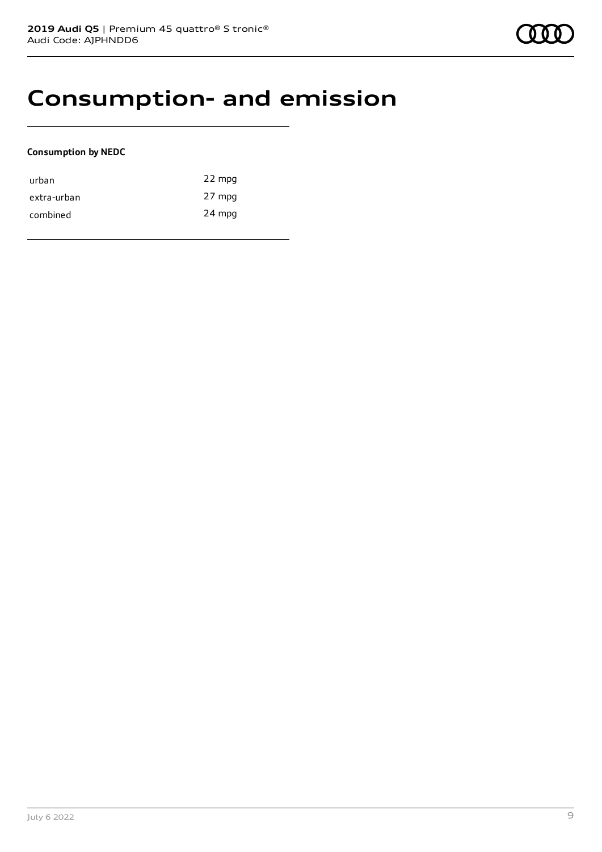### **Consumption- and emission**

#### **Consumption by NEDC**

| urban       | 22 mpg |
|-------------|--------|
| extra-urban | 27 mpg |
| combined    | 24 mpg |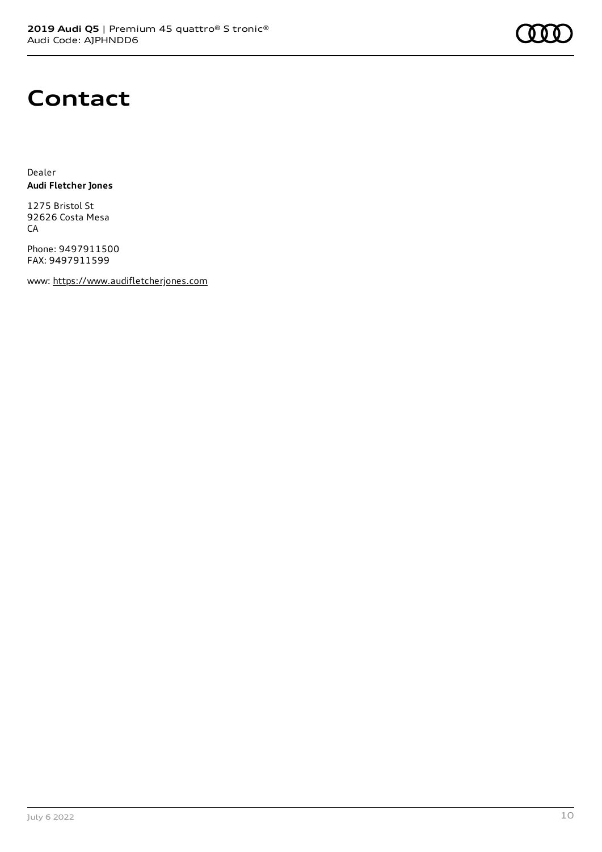

### **Contact**

Dealer **Audi Fletcher Jones**

1275 Bristol St 92626 Costa Mesa **CA** 

Phone: 9497911500 FAX: 9497911599

www: [https://www.audifletcherjones.com](https://www.audifletcherjones.com/)